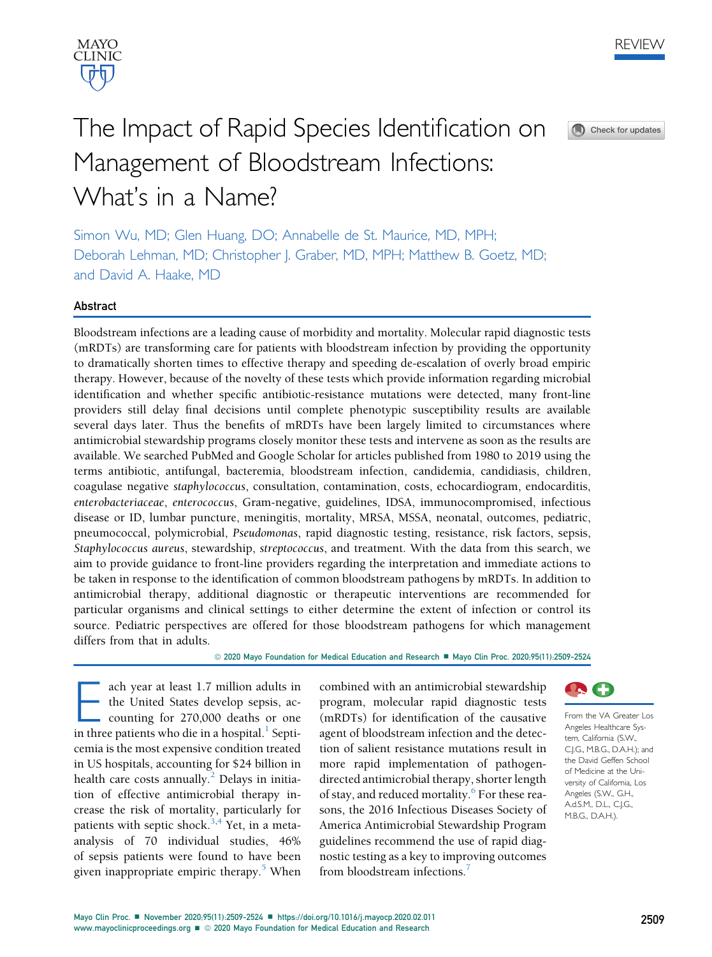



Check for updates

# The Impact of Rapid Species Identification on Management of Bloodstream Infections: What's in a Name?

Simon Wu, MD; Glen Huang, DO; Annabelle de St. Maurice, MD, MPH; Deborah Lehman, MD; Christopher J. Graber, MD, MPH; Matthew B. Goetz, MD; and David A. Haake, MD

## Abstract

Bloodstream infections are a leading cause of morbidity and mortality. Molecular rapid diagnostic tests (mRDTs) are transforming care for patients with bloodstream infection by providing the opportunity to dramatically shorten times to effective therapy and speeding de-escalation of overly broad empiric therapy. However, because of the novelty of these tests which provide information regarding microbial identification and whether specific antibiotic-resistance mutations were detected, many front-line providers still delay final decisions until complete phenotypic susceptibility results are available several days later. Thus the benefits of mRDTs have been largely limited to circumstances where antimicrobial stewardship programs closely monitor these tests and intervene as soon as the results are available. We searched PubMed and Google Scholar for articles published from 1980 to 2019 using the terms antibiotic, antifungal, bacteremia, bloodstream infection, candidemia, candidiasis, children, coagulase negative staphylococcus, consultation, contamination, costs, echocardiogram, endocarditis, enterobacteriaceae, enterococcus, Gram-negative, guidelines, IDSA, immunocompromised, infectious disease or ID, lumbar puncture, meningitis, mortality, MRSA, MSSA, neonatal, outcomes, pediatric, pneumococcal, polymicrobial, Pseudomonas, rapid diagnostic testing, resistance, risk factors, sepsis, Staphylococcus aureus, stewardship, streptococcus, and treatment. With the data from this search, we aim to provide guidance to front-line providers regarding the interpretation and immediate actions to be taken in response to the identification of common bloodstream pathogens by mRDTs. In addition to antimicrobial therapy, additional diagnostic or therapeutic interventions are recommended for particular organisms and clinical settings to either determine the extent of infection or control its source. Pediatric perspectives are offered for those bloodstream pathogens for which management differs from that in adults.

© 2020 Mayo Foundation for Medical Education and Research ■ Mayo Clin Proc. 2020;95(11):2509-2524

**Each year at least 1.7 million adults in**<br>the United States develop sepsis, accounting for 270,000 deaths or one<br>in three patients who die in a hospital.<sup>1</sup> Septithe United States develop sepsis, accounting for 270,000 deaths or one in three patients who die in a hospital. $<sup>1</sup>$  $<sup>1</sup>$  $<sup>1</sup>$  Septi-</sup> cemia is the most expensive condition treated in US hospitals, accounting for \$24 billion in health care costs annually.<sup>[2](#page-14-0)</sup> Delays in initiation of effective antimicrobial therapy increase the risk of mortality, particularly for patients with septic shock.<sup>[3](#page-14-1),[4](#page-14-2)</sup> Yet, in a metaanalysis of 70 individual studies, 46% of sepsis patients were found to have been given inappropriate empiric therapy.<sup>[5](#page-14-3)</sup> When

combined with an antimicrobial stewardship program, molecular rapid diagnostic tests (mRDTs) for identification of the causative agent of bloodstream infection and the detection of salient resistance mutations result in more rapid implementation of pathogendirected antimicrobial therapy, shorter length of stay, and reduced mortality.<sup>[6](#page-14-4)</sup> For these reasons, the 2016 Infectious Diseases Society of America Antimicrobial Stewardship Program guidelines recommend the use of rapid diagnostic testing as a key to improving outcomes from bloodstream infections.<sup>[7](#page-14-5)</sup>



From the VA Greater Los Angeles Healthcare System, California (S.W., C.J.G., M.B.G., D.A.H.); and the David Geffen School of Medicine at the University of California, Los Angeles (S.W., G.H., A.d.S.M., D.L., C.J.G., M.B.G., D.A.H.).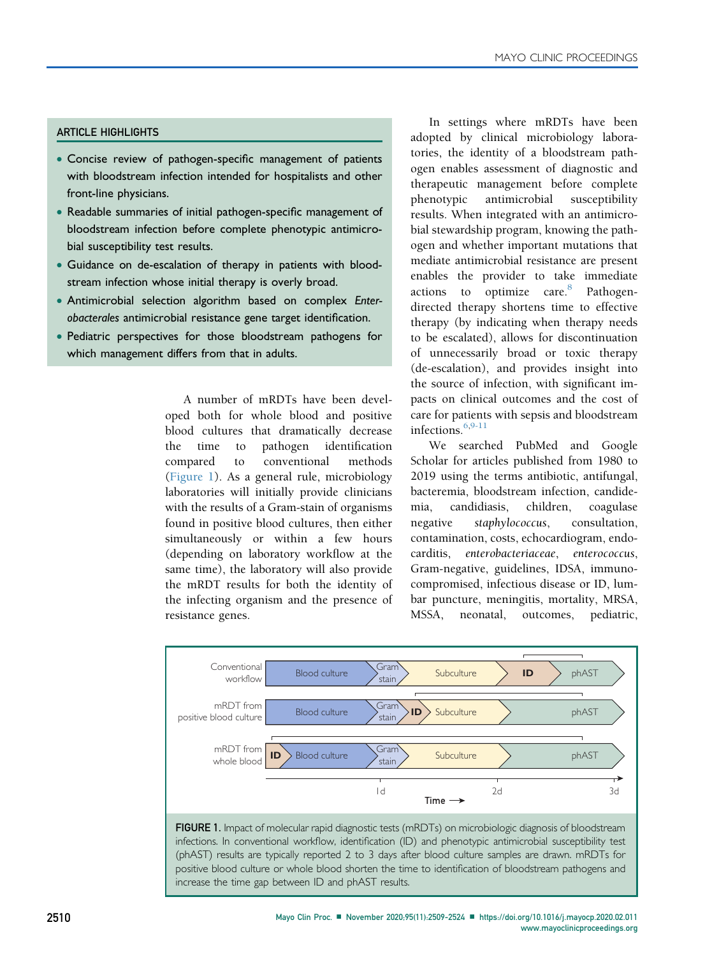#### ARTICLE HIGHLIGHTS

- Concise review of pathogen-specific management of patients with bloodstream infection intended for hospitalists and other front-line physicians.
- Readable summaries of initial pathogen-specific management of bloodstream infection before complete phenotypic antimicrobial susceptibility test results.
- Guidance on de-escalation of therapy in patients with bloodstream infection whose initial therapy is overly broad.
- Antimicrobial selection algorithm based on complex Enterobacterales antimicrobial resistance gene target identification.
- Pediatric perspectives for those bloodstream pathogens for which management differs from that in adults.

A number of mRDTs have been developed both for whole blood and positive blood cultures that dramatically decrease the time to pathogen identification compared to conventional methods [\(Figure 1](#page-1-0)). As a general rule, microbiology laboratories will initially provide clinicians with the results of a Gram-stain of organisms found in positive blood cultures, then either simultaneously or within a few hours (depending on laboratory workflow at the same time), the laboratory will also provide the mRDT results for both the identity of the infecting organism and the presence of resistance genes.

increase the time gap between ID and phAST results.

In settings where mRDTs have been adopted by clinical microbiology laboratories, the identity of a bloodstream pathogen enables assessment of diagnostic and therapeutic management before complete phenotypic antimicrobial susceptibility results. When integrated with an antimicrobial stewardship program, knowing the pathogen and whether important mutations that mediate antimicrobial resistance are present enables the provider to take immediate actions to optimize care.<sup>[8](#page-14-6)</sup> Pathogendirected therapy shortens time to effective therapy (by indicating when therapy needs to be escalated), allows for discontinuation of unnecessarily broad or toxic therapy (de-escalation), and provides insight into the source of infection, with significant impacts on clinical outcomes and the cost of care for patients with sepsis and bloodstream infections.<sup>[6,](#page-14-4)[9-11](#page-14-7)</sup>

We searched PubMed and Google Scholar for articles published from 1980 to 2019 using the terms antibiotic, antifungal, bacteremia, bloodstream infection, candidemia, candidiasis, children, coagulase negative staphylococcus, consultation, contamination, costs, echocardiogram, endocarditis, enterobacteriaceae, enterococcus, Gram-negative, guidelines, IDSA, immunocompromised, infectious disease or ID, lumbar puncture, meningitis, mortality, MRSA, MSSA, neonatal, outcomes, pediatric,

<span id="page-1-0"></span>

2510 Mayo Clin Proc. ■ November 2020;95(11):2509-2524 ■ <https://doi.org/10.1016/j.mayocp.2020.02.011> [www.mayoclinicproceedings.org](http://www.mayoclinicproceedings.org)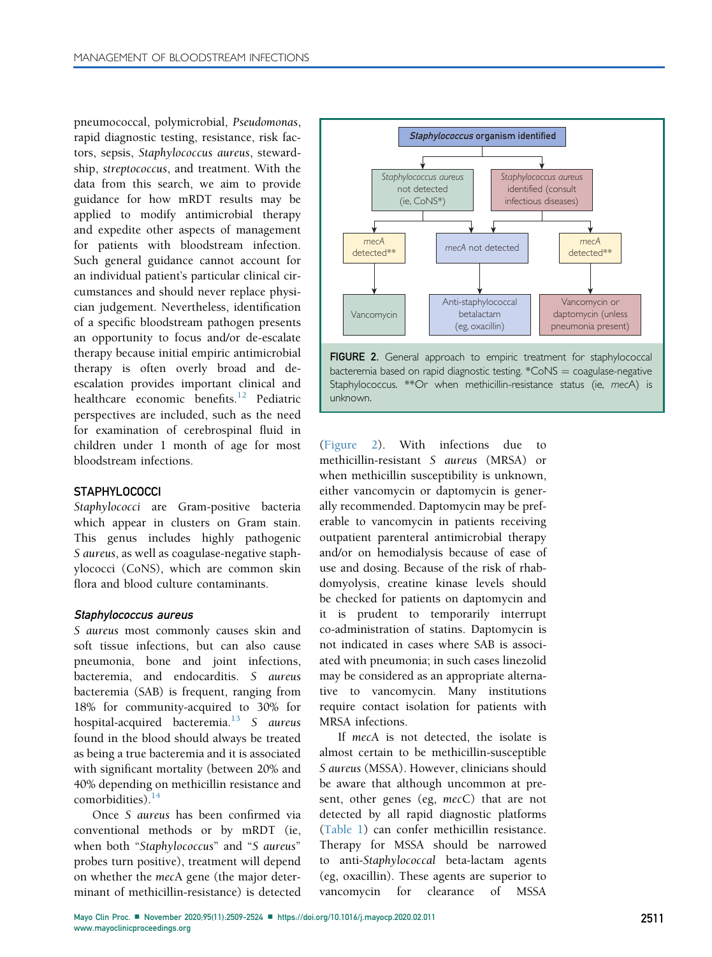pneumococcal, polymicrobial, Pseudomonas, rapid diagnostic testing, resistance, risk factors, sepsis, Staphylococcus aureus, stewardship, streptococcus, and treatment. With the data from this search, we aim to provide guidance for how mRDT results may be applied to modify antimicrobial therapy and expedite other aspects of management for patients with bloodstream infection. Such general guidance cannot account for an individual patient's particular clinical circumstances and should never replace physician judgement. Nevertheless, identification of a specific bloodstream pathogen presents an opportunity to focus and/or de-escalate therapy because initial empiric antimicrobial therapy is often overly broad and deescalation provides important clinical and healthcare economic benefits.<sup>[12](#page-14-8)</sup> Pediatric perspectives are included, such as the need for examination of cerebrospinal fluid in children under 1 month of age for most bloodstream infections.

#### **STAPHYLOCOCCI**

Staphylococci are Gram-positive bacteria which appear in clusters on Gram stain. This genus includes highly pathogenic S aureus, as well as coagulase-negative staphylococci (CoNS), which are common skin flora and blood culture contaminants.

#### Staphylococcus aureus

S aureus most commonly causes skin and soft tissue infections, but can also cause pneumonia, bone and joint infections, bacteremia, and endocarditis. S aureus bacteremia (SAB) is frequent, ranging from 18% for community-acquired to 30% for hospital-acquired bacteremia.<sup>[13](#page-14-9)</sup> S aureus found in the blood should always be treated as being a true bacteremia and it is associated with significant mortality (between 20% and 40% depending on methicillin resistance and comorbidities). $14$ 

Once S aureus has been confirmed via conventional methods or by mRDT (ie, when both "Staphylococcus" and "S aureus" probes turn positive), treatment will depend on whether the mecA gene (the major determinant of methicillin-resistance) is detected

<span id="page-2-0"></span>

bacteremia based on rapid diagnostic testing.  $*CONS = coagulase-negative$ Staphylococcus. \*\*Or when methicillin-resistance status (ie, mecA) is unknown.

[\(Figure 2\)](#page-2-0). With infections due to methicillin-resistant S aureus (MRSA) or when methicillin susceptibility is unknown, either vancomycin or daptomycin is generally recommended. Daptomycin may be preferable to vancomycin in patients receiving outpatient parenteral antimicrobial therapy and/or on hemodialysis because of ease of use and dosing. Because of the risk of rhabdomyolysis, creatine kinase levels should be checked for patients on daptomycin and it is prudent to temporarily interrupt co-administration of statins. Daptomycin is not indicated in cases where SAB is associated with pneumonia; in such cases linezolid may be considered as an appropriate alternative to vancomycin. Many institutions require contact isolation for patients with MRSA infections.

If mecA is not detected, the isolate is almost certain to be methicillin-susceptible S aureus (MSSA). However, clinicians should be aware that although uncommon at present, other genes (eg, mecC) that are not detected by all rapid diagnostic platforms [\(Table 1](#page-3-0)) can confer methicillin resistance. Therapy for MSSA should be narrowed to anti-Staphylococcal beta-lactam agents (eg, oxacillin). These agents are superior to vancomycin for clearance of MSSA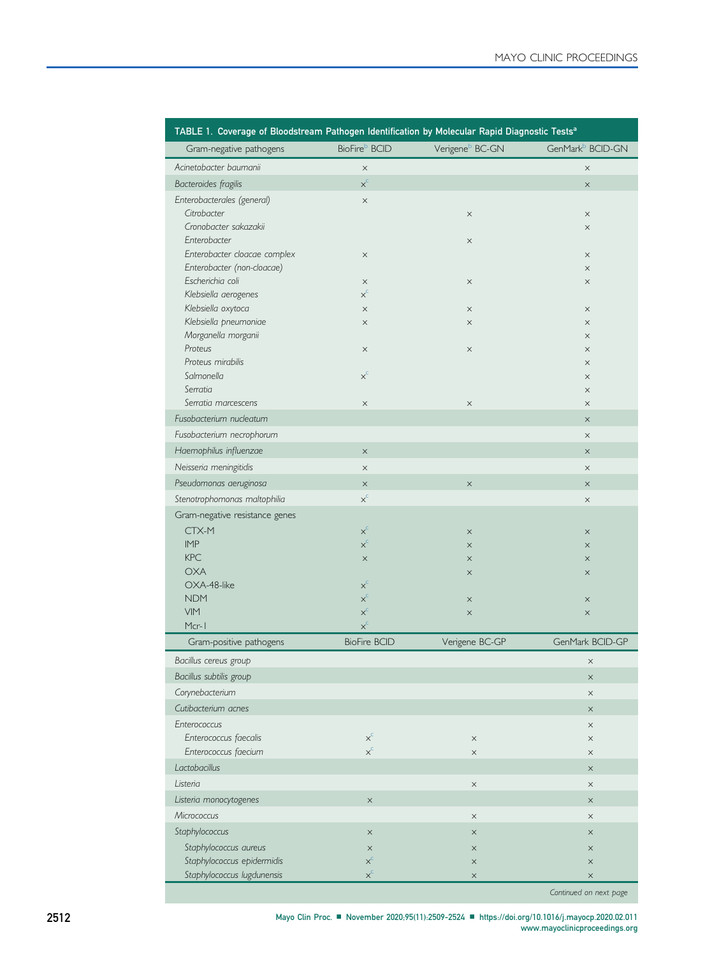<span id="page-3-0"></span>

| TABLE 1. Coverage of Bloodstream Pathogen Identification by Molecular Rapid Diagnostic Tests <sup>a</sup> |                              |                             |                              |  |  |
|-----------------------------------------------------------------------------------------------------------|------------------------------|-----------------------------|------------------------------|--|--|
| Gram-negative pathogens                                                                                   | BioFire <sup>b</sup> BCID    | Verigene <sup>b</sup> BC-GN | GenMark <sup>b</sup> BCID-GN |  |  |
| Acinetobacter baumanii                                                                                    | $\times$                     |                             | $\times$                     |  |  |
| Bacteroides fragilis                                                                                      | $x^{c}$                      |                             | $\times$                     |  |  |
| Enterobacterales (general)                                                                                | $\times$                     |                             |                              |  |  |
| Citrobacter                                                                                               |                              | $\times$                    | $\times$                     |  |  |
| Cronobacter sakazakii                                                                                     |                              |                             | $\times$                     |  |  |
| Enterobacter                                                                                              |                              | $\times$                    |                              |  |  |
| Enterobacter cloacae complex                                                                              | $\times$                     |                             | $\times$                     |  |  |
| Enterobacter (non-cloacae)                                                                                |                              |                             | $\times$                     |  |  |
| Escherichia coli<br>Klebsiella aerogenes                                                                  | $\times$<br>$x^{c}$          | $\times$                    | $\times$                     |  |  |
| Klebsiella oxytoca                                                                                        | $\times$                     | $\times$                    | $\times$                     |  |  |
| Klebsiella pneumoniae                                                                                     | $\times$                     | $\times$                    | $\times$                     |  |  |
| Morganella morganii                                                                                       |                              |                             | X                            |  |  |
| Proteus                                                                                                   | $\times$                     | $\times$                    | $\times$                     |  |  |
| Proteus mirabilis                                                                                         |                              |                             | $\times$                     |  |  |
| Salmonella                                                                                                | $\times^{\text{C}}$          |                             | X                            |  |  |
| Serratia                                                                                                  |                              |                             | $\times$                     |  |  |
| Serratia marcescens                                                                                       | $\times$                     | $\times$                    | $\times$                     |  |  |
| Fusobacterium nucleatum                                                                                   |                              |                             | $\times$                     |  |  |
| Fusobacterium necrophorum                                                                                 |                              |                             | $\times$                     |  |  |
| Haemophilus influenzae                                                                                    | $\times$                     |                             | $\times$                     |  |  |
| Neisseria meningitidis                                                                                    | $\times$                     |                             | $\times$                     |  |  |
| Pseudomonas aeruginosa                                                                                    | $\times$                     | $\times$                    | $\times$                     |  |  |
| Stenotrophomonas maltophilia                                                                              | $x_c$                        |                             | $\times$                     |  |  |
| Gram-negative resistance genes                                                                            |                              |                             |                              |  |  |
| CTX-M                                                                                                     | $\mathsf{x}^{\mathsf{c}}$    | $\times$                    | $\times$                     |  |  |
| <b>IMP</b>                                                                                                | $x_c$                        | $\times$                    | $\times$                     |  |  |
| <b>KPC</b>                                                                                                | $\times$                     | $\times$                    | $\times$                     |  |  |
| <b>OXA</b>                                                                                                |                              | $\times$                    | $\times$                     |  |  |
| OXA-48-like                                                                                               | $x_c$                        |                             |                              |  |  |
| <b>NDM</b>                                                                                                | $x^{c}$                      | $\times$                    | $\times$                     |  |  |
| VIM                                                                                                       | $\times^{\text{C}}$          | $\times$                    | $\times$                     |  |  |
| Mcr-1                                                                                                     | $x^{c}$                      |                             |                              |  |  |
| Gram-positive pathogens                                                                                   | <b>BioFire BCID</b>          | Verigene BC-GP              | GenMark BCID-GP              |  |  |
| Bacillus cereus group                                                                                     |                              |                             | $\times$                     |  |  |
| Bacillus subtilis group                                                                                   |                              |                             | $\times$                     |  |  |
| Corynebacterium                                                                                           |                              |                             | $\times$                     |  |  |
| Cutibacterium acnes                                                                                       |                              |                             | $\times$                     |  |  |
| Enterococcus                                                                                              |                              |                             | X                            |  |  |
| Enterococcus faecalis                                                                                     | $x^c$<br>$\times^{\text{c}}$ | $\times$                    | $\times$                     |  |  |
| Enterococcus faecium                                                                                      |                              | $\times$                    | $\times$                     |  |  |
| Lactobacillus                                                                                             |                              |                             | $\times$                     |  |  |
| Listeria                                                                                                  |                              | $\times$                    | $\times$                     |  |  |
| Listeria monocytogenes                                                                                    | $\times$                     |                             | $\times$                     |  |  |
| Micrococcus                                                                                               |                              | $\times$                    | $\times$                     |  |  |
| Staphylococcus                                                                                            | $\times$                     | $\times$                    | $\times$                     |  |  |
| Staphylococcus aureus                                                                                     | $\times$                     | $\times$                    | $\times$                     |  |  |
| Staphylococcus epidermidis                                                                                | $x^{c}$                      | $\times$                    | $\times$                     |  |  |
| Staphylococcus lugdunensis                                                                                | $x^{c}$                      | $\times$                    | $\times$                     |  |  |

Continued on next page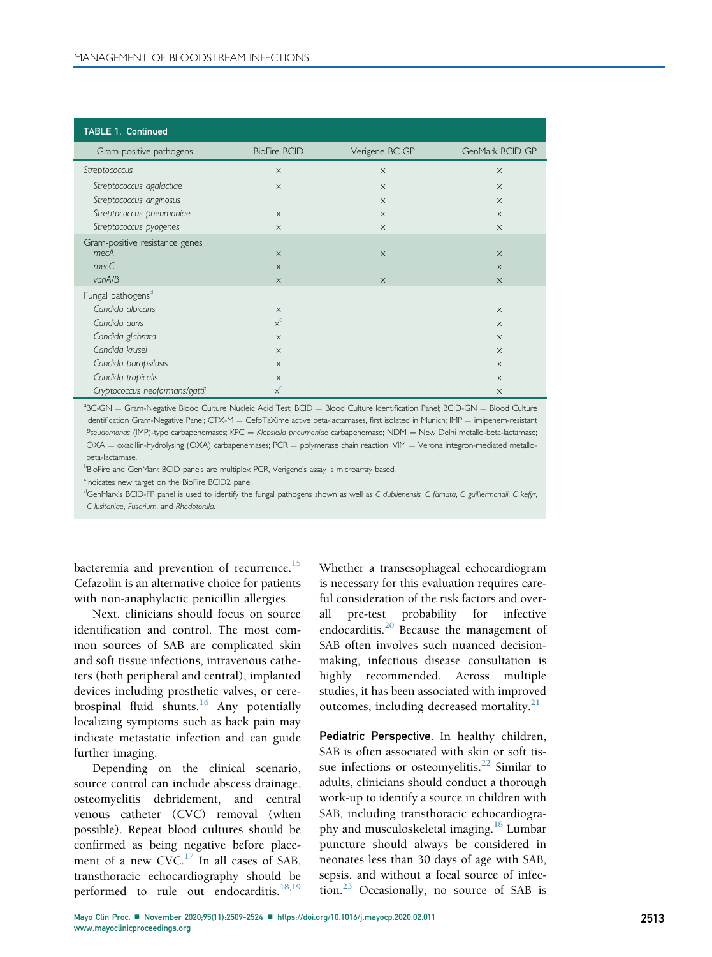| <b>TABLE 1. Continued</b>                                 |                                  |                      |                                  |
|-----------------------------------------------------------|----------------------------------|----------------------|----------------------------------|
| Gram-positive pathogens                                   | <b>BioFire BCID</b>              | Verigene BC-GP       | GenMark BCID-GP                  |
| Streptococcus                                             | $\times$                         | $\times$             | $\times$                         |
| Streptococcus agalactiae                                  | $\times$                         | $\times$             | $\times$                         |
| Streptococcus anginosus                                   |                                  | $\times$             | $\times$                         |
| Streptococcus pneumoniae                                  | $\times$                         | $\times$             | $\times$                         |
| Streptococcus pyogenes                                    | $\times$                         | $\times$             | $\times$                         |
| Gram-positive resistance genes<br>mecA<br>mecC<br>van A/B | $\times$<br>$\times$<br>$\times$ | $\times$<br>$\times$ | $\times$<br>$\times$<br>$\times$ |
| Fungal pathogens <sup>d</sup>                             |                                  |                      |                                  |
| Candida albicans                                          | $\times$                         |                      | $\times$                         |
| Candida auris                                             | $x^c$                            |                      | $\times$                         |
| Candida glabrata                                          | $\times$                         |                      | $\times$                         |
| Candida krusei                                            | $\times$                         |                      | $\times$                         |
| Candida parapsilosis                                      | $\times$                         |                      | $\times$                         |
| Candida tropicalis                                        | $\times$                         |                      | $\times$                         |
| Cryptococcus neoformans/gattii                            | $x^c$                            |                      | $\times$                         |

<span id="page-4-0"></span> ${}^{a}$ BC-GN = Gram-Negative Blood Culture Nucleic Acid Test; BCID = Blood Culture Identification Panel; BCID-GN = Blood Culture Identification Gram-Negative Panel; CTX-M = CefoTaXime active beta-lactamases, first isolated in Munich; IMP = imipenem-resistant Pseudomonas (IMP)-type carbapenemases; KPC = Klebsiella pneumoniae carbapenemase; NDM = New Delhi metallo-beta-lactamase;  $OXA =$  oxacillin-hydrolysing ( $OXA$ ) carbapenemases; PCR = polymerase chain reaction; VIM = Verona integron-mediated metallobeta-lactamase.

<span id="page-4-1"></span>b<br>BioFire and GenMark BCID panels are multiplex PCR, Verigene's assay is microarray based.

<span id="page-4-2"></span><sup>c</sup>Indicates new target on the BioFire BCID2 panel.

<span id="page-4-3"></span><sup>d</sup>GenMark's BCID-FP panel is used to identify the fungal pathogens shown as well as C dublienensis, C famata, C guilliermondii, C kefyr, C lusitaniae, Fusarium, and Rhodotorula.

bacteremia and prevention of recurrence.<sup>[15](#page-14-11)</sup> Cefazolin is an alternative choice for patients with non-anaphylactic penicillin allergies.

Next, clinicians should focus on source identification and control. The most common sources of SAB are complicated skin and soft tissue infections, intravenous catheters (both peripheral and central), implanted devices including prosthetic valves, or cerebrospinal fluid shunts. $16$  Any potentially localizing symptoms such as back pain may indicate metastatic infection and can guide further imaging.

Depending on the clinical scenario, source control can include abscess drainage, osteomyelitis debridement, and central venous catheter (CVC) removal (when possible). Repeat blood cultures should be confirmed as being negative before placement of a new  $CVC$ <sup>[17](#page-14-13)</sup> In all cases of SAB, transthoracic echocardiography should be performed to rule out endocarditis. $18,19$  $18,19$  $18,19$ 

Whether a transesophageal echocardiogram is necessary for this evaluation requires careful consideration of the risk factors and overall pre-test probability for infective endocarditis.[20](#page-14-16) Because the management of SAB often involves such nuanced decisionmaking, infectious disease consultation is highly recommended. Across multiple studies, it has been associated with improved outcomes, including decreased mortality.<sup>[21](#page-14-17)</sup>

Pediatric Perspective. In healthy children, SAB is often associated with skin or soft tissue infections or osteomyelitis. $^{22}$  $^{22}$  $^{22}$  Similar to adults, clinicians should conduct a thorough work-up to identify a source in children with SAB, including transthoracic echocardiogra-phy and musculoskeletal imaging.<sup>[18](#page-14-14)</sup> Lumbar puncture should always be considered in neonates less than 30 days of age with SAB, sepsis, and without a focal source of infection. $^{23}$  $^{23}$  $^{23}$  Occasionally, no source of SAB is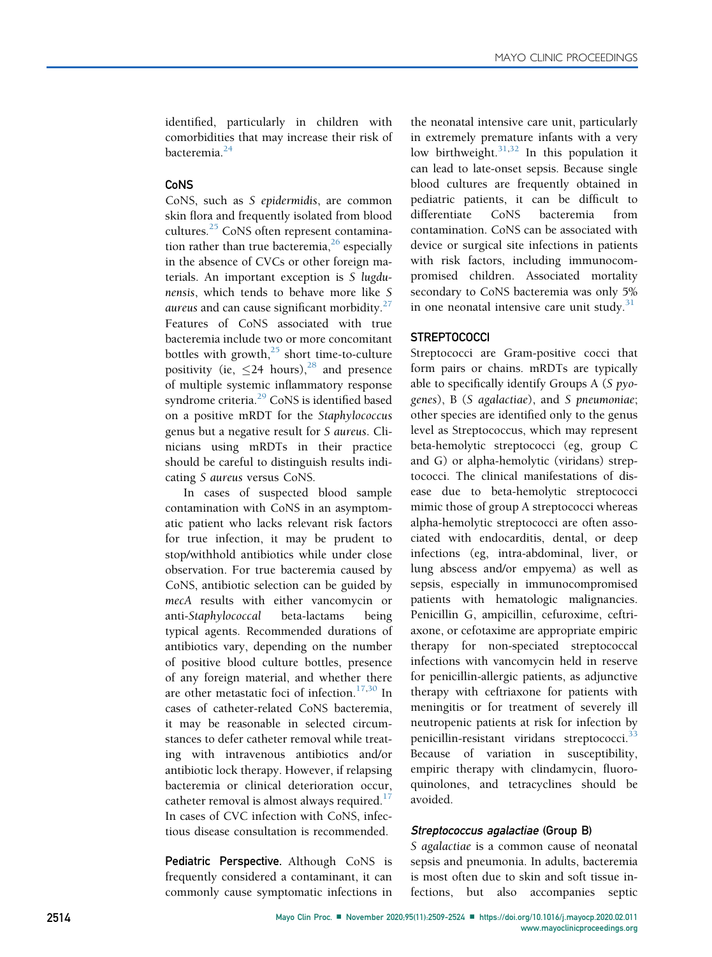identified, particularly in children with comorbidities that may increase their risk of bacteremia.<sup>[24](#page-14-20)</sup>

#### CoNS

CoNS, such as S epidermidis, are common skin flora and frequently isolated from blood cultures.<sup>[25](#page-14-21)</sup> CoNS often represent contamination rather than true bacteremia,  $^{26}$  $^{26}$  $^{26}$  especially in the absence of CVCs or other foreign materials. An important exception is S lugdunensis, which tends to behave more like S aureus and can cause significant morbidity. $27$ Features of CoNS associated with true bacteremia include two or more concomitant bottles with growth, $25$  short time-to-culture positivity (ie,  $\leq$ 24 hours),<sup>[28](#page-14-24)</sup> and presence of multiple systemic inflammatory response syndrome criteria.<sup>[29](#page-14-25)</sup> CoNS is identified based on a positive mRDT for the Staphylococcus genus but a negative result for S aureus. Clinicians using mRDTs in their practice should be careful to distinguish results indicating S aureus versus CoNS.

In cases of suspected blood sample contamination with CoNS in an asymptomatic patient who lacks relevant risk factors for true infection, it may be prudent to stop/withhold antibiotics while under close observation. For true bacteremia caused by CoNS, antibiotic selection can be guided by mecA results with either vancomycin or anti-Staphylococcal beta-lactams being typical agents. Recommended durations of antibiotics vary, depending on the number of positive blood culture bottles, presence of any foreign material, and whether there are other metastatic foci of infection.<sup>[17,](#page-14-13)[30](#page-14-26)</sup> In cases of catheter-related CoNS bacteremia, it may be reasonable in selected circumstances to defer catheter removal while treating with intravenous antibiotics and/or antibiotic lock therapy. However, if relapsing bacteremia or clinical deterioration occur, catheter removal is almost always required. $17$ In cases of CVC infection with CoNS, infectious disease consultation is recommended.

Pediatric Perspective. Although CoNS is frequently considered a contaminant, it can commonly cause symptomatic infections in the neonatal intensive care unit, particularly in extremely premature infants with a very low birthweight. $31,32$  $31,32$  In this population it can lead to late-onset sepsis. Because single blood cultures are frequently obtained in pediatric patients, it can be difficult to differentiate CoNS bacteremia from contamination. CoNS can be associated with device or surgical site infections in patients with risk factors, including immunocompromised children. Associated mortality secondary to CoNS bacteremia was only 5% in one neonatal intensive care unit study. $31$ 

## **STREPTOCOCCI**

Streptococci are Gram-positive cocci that form pairs or chains. mRDTs are typically able to specifically identify Groups A (S pyogenes), B (S agalactiae), and S pneumoniae; other species are identified only to the genus level as Streptococcus, which may represent beta-hemolytic streptococci (eg, group C and G) or alpha-hemolytic (viridans) streptococci. The clinical manifestations of disease due to beta-hemolytic streptococci mimic those of group A streptococci whereas alpha-hemolytic streptococci are often associated with endocarditis, dental, or deep infections (eg, intra-abdominal, liver, or lung abscess and/or empyema) as well as sepsis, especially in immunocompromised patients with hematologic malignancies. Penicillin G, ampicillin, cefuroxime, ceftriaxone, or cefotaxime are appropriate empiric therapy for non-speciated streptococcal infections with vancomycin held in reserve for penicillin-allergic patients, as adjunctive therapy with ceftriaxone for patients with meningitis or for treatment of severely ill neutropenic patients at risk for infection by penicillin-resistant viridans streptococci.<sup>[33](#page-14-29)</sup> Because of variation in susceptibility, empiric therapy with clindamycin, fluoroquinolones, and tetracyclines should be avoided.

## Streptococcus agalactiae (Group B)

S agalactiae is a common cause of neonatal sepsis and pneumonia. In adults, bacteremia is most often due to skin and soft tissue infections, but also accompanies septic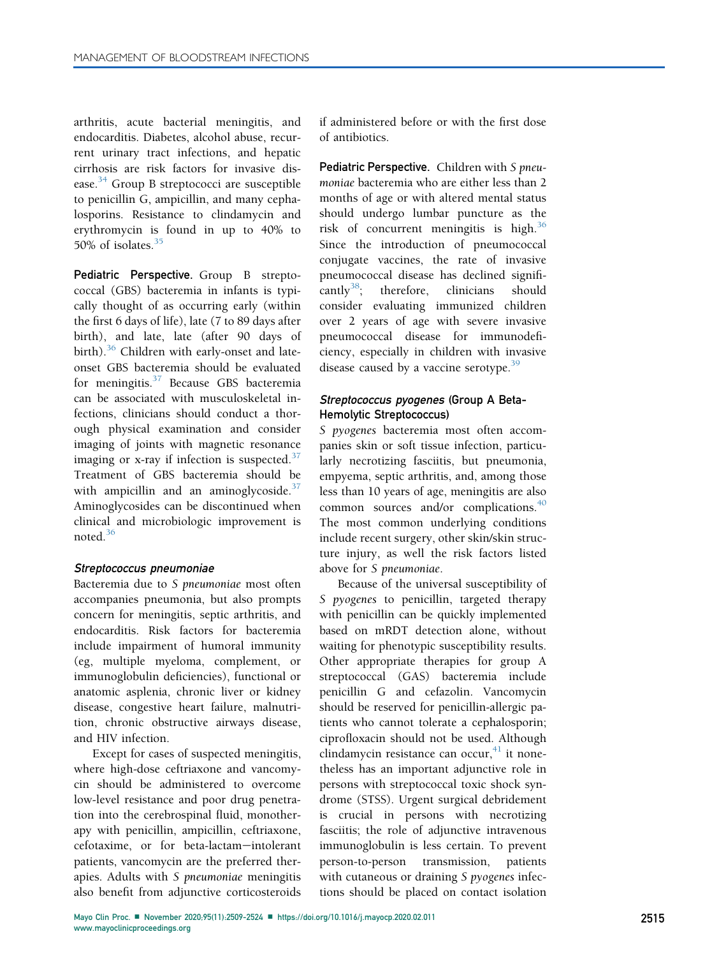arthritis, acute bacterial meningitis, and endocarditis. Diabetes, alcohol abuse, recurrent urinary tract infections, and hepatic cirrhosis are risk factors for invasive dis-ease.<sup>[34](#page-14-30)</sup> Group B streptococci are susceptible to penicillin G, ampicillin, and many cephalosporins. Resistance to clindamycin and erythromycin is found in up to 40% to 50% of isolates. $35$ 

Pediatric Perspective. Group B streptococcal (GBS) bacteremia in infants is typically thought of as occurring early (within the first 6 days of life), late (7 to 89 days after birth), and late, late (after 90 days of birth).<sup>[36](#page-14-32)</sup> Children with early-onset and lateonset GBS bacteremia should be evaluated for meningitis. $37$  Because GBS bacteremia can be associated with musculoskeletal infections, clinicians should conduct a thorough physical examination and consider imaging of joints with magnetic resonance imaging or x-ray if infection is suspected. $37$ Treatment of GBS bacteremia should be with ampicillin and an aminoglycoside. $37$ Aminoglycosides can be discontinued when clinical and microbiologic improvement is noted.[36](#page-14-32)

#### Streptococcus pneumoniae

Bacteremia due to S pneumoniae most often accompanies pneumonia, but also prompts concern for meningitis, septic arthritis, and endocarditis. Risk factors for bacteremia include impairment of humoral immunity (eg, multiple myeloma, complement, or immunoglobulin deficiencies), functional or anatomic asplenia, chronic liver or kidney disease, congestive heart failure, malnutrition, chronic obstructive airways disease, and HIV infection.

Except for cases of suspected meningitis, where high-dose ceftriaxone and vancomycin should be administered to overcome low-level resistance and poor drug penetration into the cerebrospinal fluid, monotherapy with penicillin, ampicillin, ceftriaxone, cefotaxime, or for beta-lactam-intolerant patients, vancomycin are the preferred therapies. Adults with S pneumoniae meningitis also benefit from adjunctive corticosteroids

if administered before or with the first dose of antibiotics.

Pediatric Perspective. Children with S pneumoniae bacteremia who are either less than 2 months of age or with altered mental status should undergo lumbar puncture as the risk of concurrent meningitis is high.<sup>[36](#page-14-32)</sup> Since the introduction of pneumococcal conjugate vaccines, the rate of invasive pneumococcal disease has declined signifi-cantly<sup>[38](#page-14-34)</sup>; therefore, clinicians should consider evaluating immunized children over 2 years of age with severe invasive pneumococcal disease for immunodeficiency, especially in children with invasive disease caused by a vaccine serotype. $39$ 

## Streptococcus pyogenes (Group A Beta-Hemolytic Streptococcus)

S pyogenes bacteremia most often accompanies skin or soft tissue infection, particularly necrotizing fasciitis, but pneumonia, empyema, septic arthritis, and, among those less than 10 years of age, meningitis are also common sources and/or complications.<sup>[40](#page-15-1)</sup> The most common underlying conditions include recent surgery, other skin/skin structure injury, as well the risk factors listed above for S pneumoniae.

Because of the universal susceptibility of S pyogenes to penicillin, targeted therapy with penicillin can be quickly implemented based on mRDT detection alone, without waiting for phenotypic susceptibility results. Other appropriate therapies for group A streptococcal (GAS) bacteremia include penicillin G and cefazolin. Vancomycin should be reserved for penicillin-allergic patients who cannot tolerate a cephalosporin; ciprofloxacin should not be used. Although clindamycin resistance can occur, $41$  it nonetheless has an important adjunctive role in persons with streptococcal toxic shock syndrome (STSS). Urgent surgical debridement is crucial in persons with necrotizing fasciitis; the role of adjunctive intravenous immunoglobulin is less certain. To prevent person-to-person transmission, patients with cutaneous or draining S pyogenes infections should be placed on contact isolation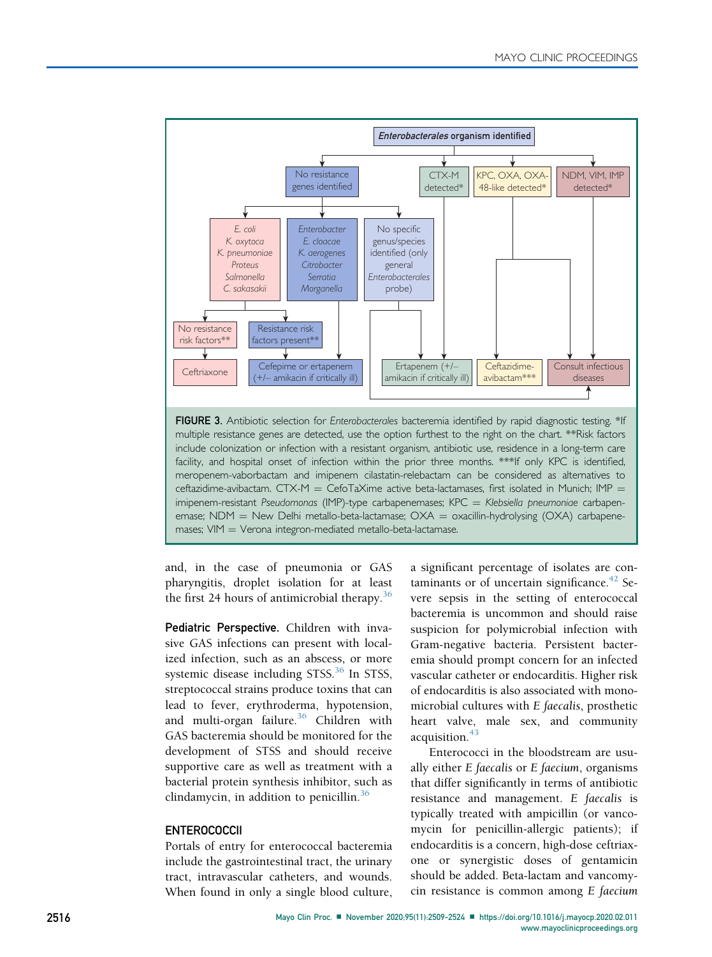<span id="page-7-0"></span>

and, in the case of pneumonia or GAS pharyngitis, droplet isolation for at least the first 24 hours of antimicrobial therapy.<sup>[36](#page-14-32)</sup>

Pediatric Perspective. Children with invasive GAS infections can present with localized infection, such as an abscess, or more systemic disease including  $STSS$ <sup>[36](#page-14-32)</sup> In STSS, streptococcal strains produce toxins that can lead to fever, erythroderma, hypotension, and multi-organ failure.<sup>[36](#page-14-32)</sup> Children with GAS bacteremia should be monitored for the development of STSS and should receive supportive care as well as treatment with a bacterial protein synthesis inhibitor, such as clindamycin, in addition to penicillin.<sup>[36](#page-14-32)</sup>

## **ENTEROCOCCII**

Portals of entry for enterococcal bacteremia include the gastrointestinal tract, the urinary tract, intravascular catheters, and wounds. When found in only a single blood culture, a significant percentage of isolates are contaminants or of uncertain significance. $42$  Severe sepsis in the setting of enterococcal bacteremia is uncommon and should raise suspicion for polymicrobial infection with Gram-negative bacteria. Persistent bacteremia should prompt concern for an infected vascular catheter or endocarditis. Higher risk of endocarditis is also associated with monomicrobial cultures with E faecalis, prosthetic heart valve, male sex, and community acquisition.<sup>[43](#page-15-4)</sup>

Enterococci in the bloodstream are usually either E faecalis or E faecium, organisms that differ significantly in terms of antibiotic resistance and management. E faecalis is typically treated with ampicillin (or vancomycin for penicillin-allergic patients); if endocarditis is a concern, high-dose ceftriaxone or synergistic doses of gentamicin should be added. Beta-lactam and vancomycin resistance is common among E faecium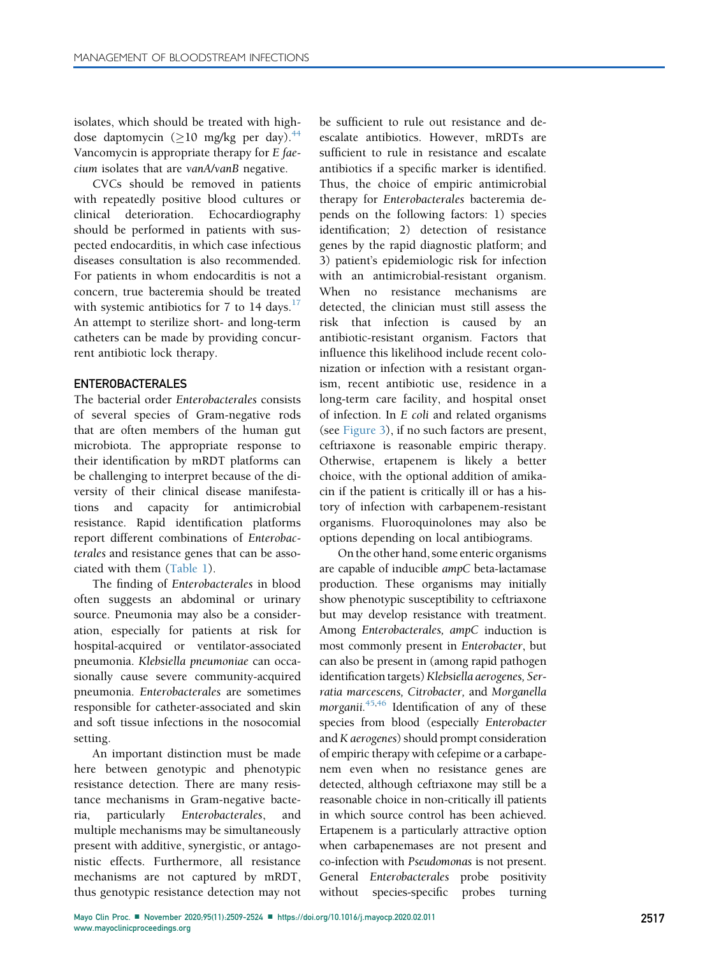isolates, which should be treated with highdose daptomycin ( $\geq 10$  mg/kg per day).<sup>[44](#page-15-5)</sup> Vancomycin is appropriate therapy for E faecium isolates that are vanA/vanB negative.

CVCs should be removed in patients with repeatedly positive blood cultures or clinical deterioration. Echocardiography should be performed in patients with suspected endocarditis, in which case infectious diseases consultation is also recommended. For patients in whom endocarditis is not a concern, true bacteremia should be treated with systemic antibiotics for 7 to 14 days. $17$ An attempt to sterilize short- and long-term catheters can be made by providing concurrent antibiotic lock therapy.

## ENTEROBACTERALES

The bacterial order Enterobacterales consists of several species of Gram-negative rods that are often members of the human gut microbiota. The appropriate response to their identification by mRDT platforms can be challenging to interpret because of the diversity of their clinical disease manifestations and capacity for antimicrobial resistance. Rapid identification platforms report different combinations of Enterobacterales and resistance genes that can be associated with them [\(Table 1](#page-3-0)).

The finding of Enterobacterales in blood often suggests an abdominal or urinary source. Pneumonia may also be a consideration, especially for patients at risk for hospital-acquired or ventilator-associated pneumonia. Klebsiella pneumoniae can occasionally cause severe community-acquired pneumonia. Enterobacterales are sometimes responsible for catheter-associated and skin and soft tissue infections in the nosocomial setting.

An important distinction must be made here between genotypic and phenotypic resistance detection. There are many resistance mechanisms in Gram-negative bacteria, particularly Enterobacterales, and multiple mechanisms may be simultaneously present with additive, synergistic, or antagonistic effects. Furthermore, all resistance mechanisms are not captured by mRDT, thus genotypic resistance detection may not

be sufficient to rule out resistance and deescalate antibiotics. However, mRDTs are sufficient to rule in resistance and escalate antibiotics if a specific marker is identified. Thus, the choice of empiric antimicrobial therapy for Enterobacterales bacteremia depends on the following factors: 1) species identification; 2) detection of resistance genes by the rapid diagnostic platform; and 3) patient's epidemiologic risk for infection with an antimicrobial-resistant organism. When no resistance mechanisms are detected, the clinician must still assess the risk that infection is caused by an antibiotic-resistant organism. Factors that influence this likelihood include recent colonization or infection with a resistant organism, recent antibiotic use, residence in a long-term care facility, and hospital onset of infection. In E coli and related organisms (see [Figure 3](#page-7-0)), if no such factors are present, ceftriaxone is reasonable empiric therapy. Otherwise, ertapenem is likely a better choice, with the optional addition of amikacin if the patient is critically ill or has a history of infection with carbapenem-resistant organisms. Fluoroquinolones may also be options depending on local antibiograms.

On the other hand, some enteric organisms are capable of inducible ampC beta-lactamase production. These organisms may initially show phenotypic susceptibility to ceftriaxone but may develop resistance with treatment. Among Enterobacterales, ampC induction is most commonly present in Enterobacter, but can also be present in (among rapid pathogen identification targets) Klebsiella aerogenes, Serratia marcescens, Citrobacter, and Morganella morganii. $45,46$  $45,46$  Identification of any of these species from blood (especially Enterobacter and K aerogenes) should prompt consideration of empiric therapy with cefepime or a carbapenem even when no resistance genes are detected, although ceftriaxone may still be a reasonable choice in non-critically ill patients in which source control has been achieved. Ertapenem is a particularly attractive option when carbapenemases are not present and co-infection with Pseudomonas is not present. General Enterobacterales probe positivity without species-specific probes turning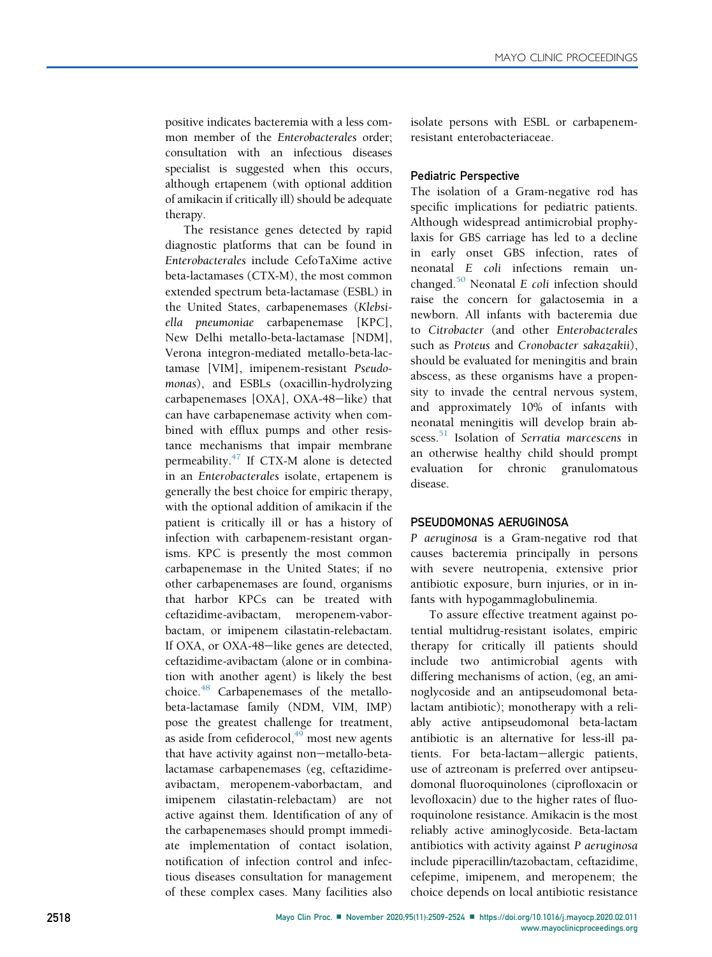positive indicates bacteremia with a less common member of the Enterobacterales order; consultation with an infectious diseases specialist is suggested when this occurs, although ertapenem (with optional addition of amikacin if critically ill) should be adequate therapy.

The resistance genes detected by rapid diagnostic platforms that can be found in Enterobacterales include CefoTaXime active beta-lactamases (CTX-M), the most common extended spectrum beta-lactamase (ESBL) in the United States, carbapenemases (Klebsiella pneumoniae carbapenemase [KPC], New Delhi metallo-beta-lactamase [NDM], Verona integron-mediated metallo-beta-lactamase [VIM], imipenem-resistant Pseudomonas), and ESBLs (oxacillin-hydrolyzing carbapenemases  $[OXA]$ ,  $OXA-48$ -like) that can have carbapenemase activity when combined with efflux pumps and other resistance mechanisms that impair membrane permeability. $47$  If CTX-M alone is detected in an Enterobacterales isolate, ertapenem is generally the best choice for empiric therapy, with the optional addition of amikacin if the patient is critically ill or has a history of infection with carbapenem-resistant organisms. KPC is presently the most common carbapenemase in the United States; if no other carbapenemases are found, organisms that harbor KPCs can be treated with ceftazidime-avibactam, meropenem-vaborbactam, or imipenem cilastatin-relebactam. If OXA, or OXA-48-like genes are detected, ceftazidime-avibactam (alone or in combination with another agent) is likely the best choice.<sup>[48](#page-15-9)</sup> Carbapenemases of the metallobeta-lactamase family (NDM, VIM, IMP) pose the greatest challenge for treatment, as aside from cefiderocol, $49$  most new agents that have activity against non-metallo-betalactamase carbapenemases (eg, ceftazidimeavibactam, meropenem-vaborbactam, and imipenem cilastatin-relebactam) are not active against them. Identification of any of the carbapenemases should prompt immediate implementation of contact isolation, notification of infection control and infectious diseases consultation for management of these complex cases. Many facilities also isolate persons with ESBL or carbapenemresistant enterobacteriaceae.

#### Pediatric Perspective

The isolation of a Gram-negative rod has specific implications for pediatric patients. Although widespread antimicrobial prophylaxis for GBS carriage has led to a decline in early onset GBS infection, rates of neonatal E coli infections remain unchanged. $50$  Neonatal E coli infection should raise the concern for galactosemia in a newborn. All infants with bacteremia due to Citrobacter (and other Enterobacterales such as Proteus and Cronobacter sakazakii), should be evaluated for meningitis and brain abscess, as these organisms have a propensity to invade the central nervous system, and approximately 10% of infants with neonatal meningitis will develop brain ab-scess.<sup>[51](#page-15-12)</sup> Isolation of Serratia marcescens in an otherwise healthy child should prompt evaluation for chronic granulomatous disease.

## PSEUDOMONAS AERUGINOSA

P aeruginosa is a Gram-negative rod that causes bacteremia principally in persons with severe neutropenia, extensive prior antibiotic exposure, burn injuries, or in infants with hypogammaglobulinemia.

To assure effective treatment against potential multidrug-resistant isolates, empiric therapy for critically ill patients should include two antimicrobial agents with differing mechanisms of action, (eg, an aminoglycoside and an antipseudomonal betalactam antibiotic); monotherapy with a reliably active antipseudomonal beta-lactam antibiotic is an alternative for less-ill patients. For beta-lactam-allergic patients, use of aztreonam is preferred over antipseudomonal fluoroquinolones (ciprofloxacin or levofloxacin) due to the higher rates of fluoroquinolone resistance. Amikacin is the most reliably active aminoglycoside. Beta-lactam antibiotics with activity against P aeruginosa include piperacillin/tazobactam, ceftazidime, cefepime, imipenem, and meropenem; the choice depends on local antibiotic resistance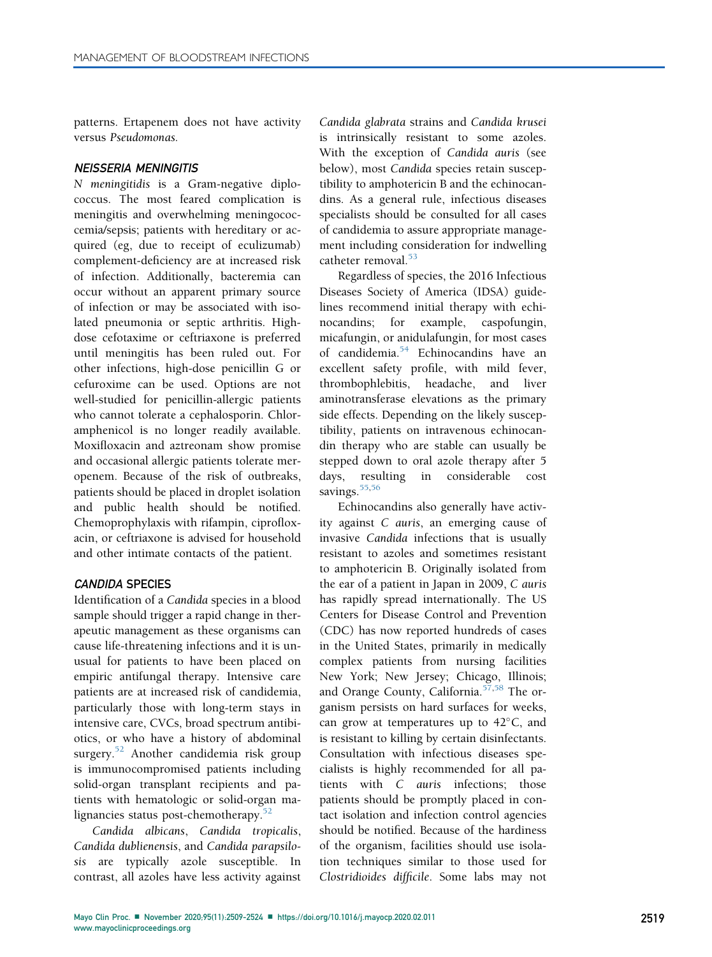patterns. Ertapenem does not have activity versus Pseudomonas.

#### NEISSERIA MENINGITIS

N meningitidis is a Gram-negative diplococcus. The most feared complication is meningitis and overwhelming meningococcemia/sepsis; patients with hereditary or acquired (eg, due to receipt of eculizumab) complement-deficiency are at increased risk of infection. Additionally, bacteremia can occur without an apparent primary source of infection or may be associated with isolated pneumonia or septic arthritis. Highdose cefotaxime or ceftriaxone is preferred until meningitis has been ruled out. For other infections, high-dose penicillin G or cefuroxime can be used. Options are not well-studied for penicillin-allergic patients who cannot tolerate a cephalosporin. Chloramphenicol is no longer readily available. Moxifloxacin and aztreonam show promise and occasional allergic patients tolerate meropenem. Because of the risk of outbreaks, patients should be placed in droplet isolation and public health should be notified. Chemoprophylaxis with rifampin, ciprofloxacin, or ceftriaxone is advised for household and other intimate contacts of the patient.

## CANDIDA SPECIES

Identification of a Candida species in a blood sample should trigger a rapid change in therapeutic management as these organisms can cause life-threatening infections and it is unusual for patients to have been placed on empiric antifungal therapy. Intensive care patients are at increased risk of candidemia, particularly those with long-term stays in intensive care, CVCs, broad spectrum antibiotics, or who have a history of abdominal surgery.<sup>[52](#page-15-13)</sup> Another candidemia risk group is immunocompromised patients including solid-organ transplant recipients and patients with hematologic or solid-organ malignancies status post-chemotherapy.<sup>5</sup>

Candida albicans, Candida tropicalis, Candida dublienensis, and Candida parapsilosis are typically azole susceptible. In contrast, all azoles have less activity against

Candida glabrata strains and Candida krusei is intrinsically resistant to some azoles. With the exception of Candida auris (see below), most Candida species retain susceptibility to amphotericin B and the echinocandins. As a general rule, infectious diseases specialists should be consulted for all cases of candidemia to assure appropriate management including consideration for indwelling catheter removal.<sup>[53](#page-15-14)</sup>

Regardless of species, the 2016 Infectious Diseases Society of America (IDSA) guidelines recommend initial therapy with echinocandins; for example, caspofungin, micafungin, or anidulafungin, for most cases of candidemia.<sup>54</sup> Echinocandins have an excellent safety profile, with mild fever, thrombophlebitis, headache, and liver aminotransferase elevations as the primary side effects. Depending on the likely susceptibility, patients on intravenous echinocandin therapy who are stable can usually be stepped down to oral azole therapy after 5 days, resulting in considerable cost savings.<sup>[55](#page-15-16)[,56](#page-15-17)</sup>

Echinocandins also generally have activity against C auris, an emerging cause of invasive Candida infections that is usually resistant to azoles and sometimes resistant to amphotericin B. Originally isolated from the ear of a patient in Japan in 2009, C auris has rapidly spread internationally. The US Centers for Disease Control and Prevention (CDC) has now reported hundreds of cases in the United States, primarily in medically complex patients from nursing facilities New York; New Jersey; Chicago, Illinois; and Orange County, California.<sup>[57](#page-15-18)[,58](#page-15-19)</sup> The organism persists on hard surfaces for weeks, can grow at temperatures up to  $42^{\circ}$ C, and is resistant to killing by certain disinfectants. Consultation with infectious diseases specialists is highly recommended for all patients with C auris infections; those patients should be promptly placed in contact isolation and infection control agencies should be notified. Because of the hardiness of the organism, facilities should use isolation techniques similar to those used for Clostridioides difficile. Some labs may not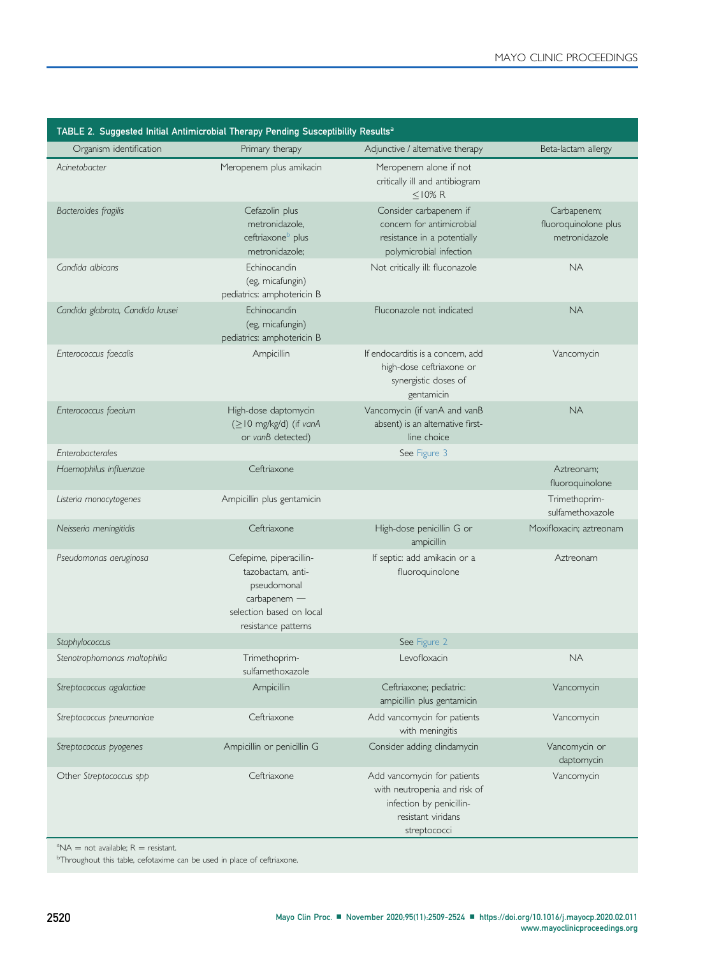[www.mayoclinicproceedings.org](http://www.mayoclinicproceedings.org)

<span id="page-11-2"></span>

| TABLE 2. Suggested Initial Antimicrobial Therapy Pending Susceptibility Results <sup>a</sup> |                                                                                                                                |                                                                                                                               |                                                      |  |  |  |
|----------------------------------------------------------------------------------------------|--------------------------------------------------------------------------------------------------------------------------------|-------------------------------------------------------------------------------------------------------------------------------|------------------------------------------------------|--|--|--|
| Organism identification                                                                      | Primary therapy                                                                                                                | Adjunctive / alternative therapy                                                                                              | Beta-lactam allergy                                  |  |  |  |
| Acinetobacter                                                                                | Meropenem plus amikacin                                                                                                        | Meropenem alone if not<br>critically ill and antibiogram<br>$<$ 10% R                                                         |                                                      |  |  |  |
| Bacteroides fragilis                                                                         | Cefazolin plus<br>metronidazole,<br>ceftriaxone <sup>b</sup> plus<br>metronidazole;                                            | Consider carbapenem if<br>concern for antimicrobial<br>resistance in a potentially<br>polymicrobial infection                 | Carbapenem;<br>fluoroquinolone plus<br>metronidazole |  |  |  |
| Candida albicans                                                                             | Echinocandin<br>(eg, micafungin)<br>pediatrics: amphotericin B                                                                 | Not critically ill: fluconazole                                                                                               | <b>NA</b>                                            |  |  |  |
| Candida glabrata, Candida krusei                                                             | Echinocandin<br>(eg, micafungin)<br>pediatrics: amphotericin B                                                                 | Fluconazole not indicated                                                                                                     | <b>NA</b>                                            |  |  |  |
| Enterococcus faecalis                                                                        | Ampicillin                                                                                                                     | If endocarditis is a concern, add<br>high-dose ceftriaxone or<br>synergistic doses of<br>gentamicin                           | Vancomycin                                           |  |  |  |
| Enterococcus faecium                                                                         | High-dose daptomycin<br>(≥10 mg/kg/d) (if vanA<br>or vanB detected)                                                            | Vancomycin (if vanA and vanB<br>absent) is an alternative first-<br>line choice                                               | <b>NA</b>                                            |  |  |  |
| Enterobacterales                                                                             |                                                                                                                                | See Figure 3                                                                                                                  |                                                      |  |  |  |
| Haemophilus influenzae                                                                       | Ceftriaxone                                                                                                                    |                                                                                                                               | Aztreonam;<br>fluoroquinolone                        |  |  |  |
| Listeria monocytogenes                                                                       | Ampicillin plus gentamicin                                                                                                     |                                                                                                                               | Trimethoprim-<br>sulfamethoxazole                    |  |  |  |
| Neisseria meningitidis                                                                       | Ceftriaxone                                                                                                                    | High-dose penicillin G or<br>ampicillin                                                                                       | Moxifloxacin; aztreonam                              |  |  |  |
| Pseudomonas aeruginosa                                                                       | Cefepime, piperacillin-<br>tazobactam, anti-<br>pseudomonal<br>carbapenem -<br>selection based on local<br>resistance patterns | If septic: add amikacin or a<br>fluoroquinolone                                                                               | Aztreonam                                            |  |  |  |
| Staphylococcus                                                                               |                                                                                                                                | See Figure 2                                                                                                                  |                                                      |  |  |  |
| Stenotrophomonas maltophilia                                                                 | Trimethoprim-<br>sulfamethoxazole                                                                                              | Levofloxacin                                                                                                                  | <b>NA</b>                                            |  |  |  |
| Streptococcus agalactiae                                                                     | Ampicillin                                                                                                                     | Ceftriaxone; pediatric:<br>ampicillin plus gentamicin                                                                         | Vancomycin                                           |  |  |  |
| Streptococcus pneumoniae                                                                     | Ceftriaxone                                                                                                                    | Add vancomycin for patients<br>with meningitis                                                                                | Vancomycin                                           |  |  |  |
| Streptococcus pyogenes                                                                       | Ampicillin or penicillin G                                                                                                     | Consider adding clindamycin                                                                                                   | Vancomycin or<br>daptomycin                          |  |  |  |
| Other Streptococcus spp                                                                      | Ceftriaxone                                                                                                                    | Add vancomycin for patients<br>with neutropenia and risk of<br>infection by penicillin-<br>resistant viridans<br>streptococci | Vancomycin                                           |  |  |  |
| $^{\circ}$ NA = not available; R = resistant.                                                |                                                                                                                                |                                                                                                                               |                                                      |  |  |  |

<span id="page-11-1"></span><span id="page-11-0"></span><sup>a</sup>NA = not available; R = resistant.<br><sup>b</sup>Throughout this table, cefotaxime can be used in place of ceftriaxone.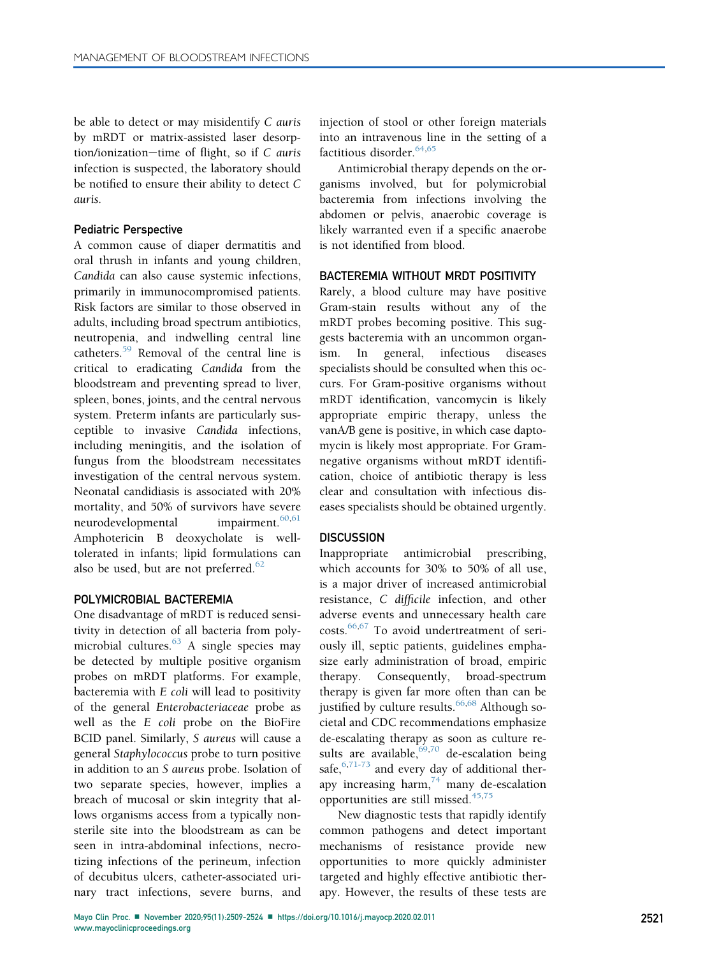be able to detect or may misidentify C auris by mRDT or matrix-assisted laser desorption/ionization-time of flight, so if  $C$  auris infection is suspected, the laboratory should be notified to ensure their ability to detect C auris.

#### Pediatric Perspective

A common cause of diaper dermatitis and oral thrush in infants and young children, Candida can also cause systemic infections, primarily in immunocompromised patients. Risk factors are similar to those observed in adults, including broad spectrum antibiotics, neutropenia, and indwelling central line catheters.[59](#page-15-20) Removal of the central line is critical to eradicating Candida from the bloodstream and preventing spread to liver, spleen, bones, joints, and the central nervous system. Preterm infants are particularly susceptible to invasive Candida infections, including meningitis, and the isolation of fungus from the bloodstream necessitates investigation of the central nervous system. Neonatal candidiasis is associated with 20% mortality, and 50% of survivors have severe neurodevelopmental impairment.<sup>[60](#page-15-21),[61](#page-15-22)</sup> Amphotericin B deoxycholate is welltolerated in infants; lipid formulations can also be used, but are not preferred. $62$ 

#### POLYMICROBIAL BACTEREMIA

One disadvantage of mRDT is reduced sensitivity in detection of all bacteria from polymicrobial cultures. $63$  A single species may be detected by multiple positive organism probes on mRDT platforms. For example, bacteremia with E coli will lead to positivity of the general Enterobacteriaceae probe as well as the E coli probe on the BioFire BCID panel. Similarly, S aureus will cause a general Staphylococcus probe to turn positive in addition to an S aureus probe. Isolation of two separate species, however, implies a breach of mucosal or skin integrity that allows organisms access from a typically nonsterile site into the bloodstream as can be seen in intra-abdominal infections, necrotizing infections of the perineum, infection of decubitus ulcers, catheter-associated urinary tract infections, severe burns, and

injection of stool or other foreign materials into an intravenous line in the setting of a factitious disorder.<sup>[64](#page-15-25)[,65](#page-15-26)</sup>

Antimicrobial therapy depends on the organisms involved, but for polymicrobial bacteremia from infections involving the abdomen or pelvis, anaerobic coverage is likely warranted even if a specific anaerobe is not identified from blood.

#### BACTEREMIA WITHOUT MRDT POSITIVITY

Rarely, a blood culture may have positive Gram-stain results without any of the mRDT probes becoming positive. This suggests bacteremia with an uncommon organism. In general, infectious diseases specialists should be consulted when this occurs. For Gram-positive organisms without mRDT identification, vancomycin is likely appropriate empiric therapy, unless the vanA/B gene is positive, in which case daptomycin is likely most appropriate. For Gramnegative organisms without mRDT identification, choice of antibiotic therapy is less clear and consultation with infectious diseases specialists should be obtained urgently.

## **DISCUSSION**

Inappropriate antimicrobial prescribing, which accounts for 30% to 50% of all use, is a major driver of increased antimicrobial resistance, C difficile infection, and other adverse events and unnecessary health care costs.[66,](#page-15-27)[67](#page-15-28) To avoid undertreatment of seriously ill, septic patients, guidelines emphasize early administration of broad, empiric therapy. Consequently, broad-spectrum therapy is given far more often than can be justified by culture results. $66,68$  $66,68$  Although societal and CDC recommendations emphasize de-escalating therapy as soon as culture results are available,  $69,70$  $69,70$  de-escalation being safe,  $6,71-73$  $6,71-73$  and every day of additional therapy increasing harm, $74$  many de-escalation opportunities are still missed. $45,75$  $45,75$ 

New diagnostic tests that rapidly identify common pathogens and detect important mechanisms of resistance provide new opportunities to more quickly administer targeted and highly effective antibiotic therapy. However, the results of these tests are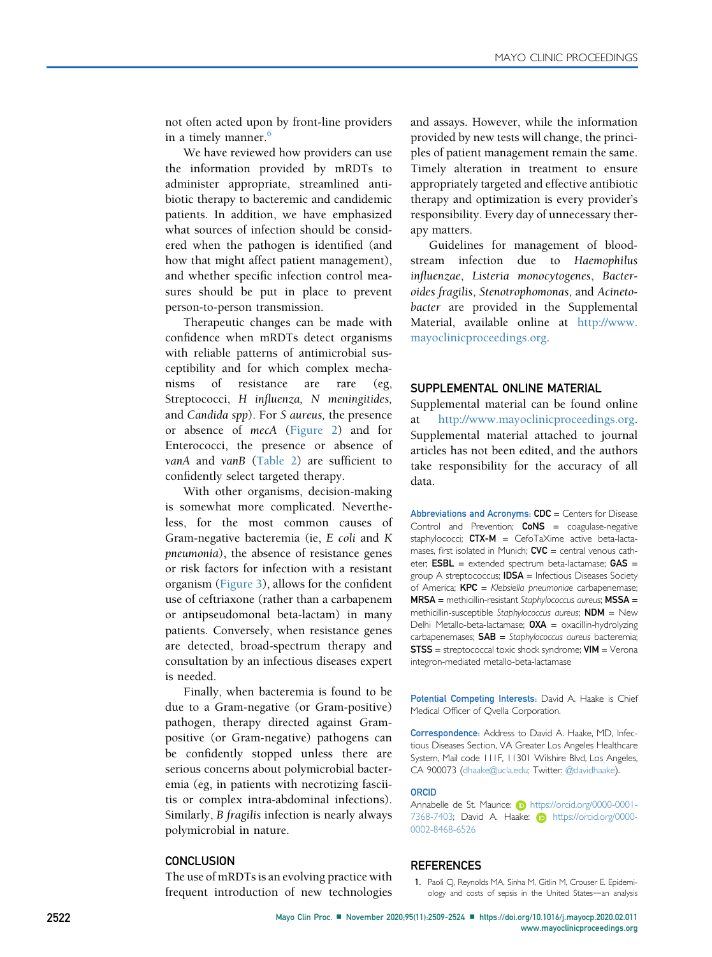not often acted upon by front-line providers in a timely manner.<sup>[6](#page-14-4)</sup>

We have reviewed how providers can use the information provided by mRDTs to administer appropriate, streamlined antibiotic therapy to bacteremic and candidemic patients. In addition, we have emphasized what sources of infection should be considered when the pathogen is identified (and how that might affect patient management), and whether specific infection control measures should be put in place to prevent person-to-person transmission.

Therapeutic changes can be made with confidence when mRDTs detect organisms with reliable patterns of antimicrobial susceptibility and for which complex mechanisms of resistance are rare (eg, Streptococci, H influenza, N meningitides, and Candida spp). For S aureus, the presence or absence of mecA ([Figure 2](#page-2-0)) and for Enterococci, the presence or absence of vanA and vanB ([Table 2](#page-11-2)) are sufficient to confidently select targeted therapy.

With other organisms, decision-making is somewhat more complicated. Nevertheless, for the most common causes of Gram-negative bacteremia (ie, E coli and K pneumonia), the absence of resistance genes or risk factors for infection with a resistant organism ([Figure 3](#page-7-0)), allows for the confident use of ceftriaxone (rather than a carbapenem or antipseudomonal beta-lactam) in many patients. Conversely, when resistance genes are detected, broad-spectrum therapy and consultation by an infectious diseases expert is needed.

Finally, when bacteremia is found to be due to a Gram-negative (or Gram-positive) pathogen, therapy directed against Grampositive (or Gram-negative) pathogens can be confidently stopped unless there are serious concerns about polymicrobial bacteremia (eg, in patients with necrotizing fasciitis or complex intra-abdominal infections). Similarly, B fragilis infection is nearly always polymicrobial in nature.

#### **CONCLUSION**

The use of mRDTs is an evolving practice with frequent introduction of new technologies and assays. However, while the information provided by new tests will change, the principles of patient management remain the same. Timely alteration in treatment to ensure appropriately targeted and effective antibiotic therapy and optimization is every provider's responsibility. Every day of unnecessary therapy matters.

Guidelines for management of bloodstream infection due to Haemophilus influenzae, Listeria monocytogenes, Bacteroides fragilis, Stenotrophomonas, and Acinetobacter are provided in the Supplemental Material, available online at [http://www.](http://www.mayoclinicproceedings.org) [mayoclinicproceedings.org](http://www.mayoclinicproceedings.org).

#### SUPPLEMENTAL ONLINE MATERIAL

Supplemental material can be found online at [http://www.mayoclinicproceedings.org.](http://www.mayoclinicproceedings.org) Supplemental material attached to journal articles has not been edited, and the authors take responsibility for the accuracy of all data.

Abbreviations and Acronyms: CDC = Centers for Disease Control and Prevention;  $CoNS = coagulase-negative$ staphylococci;  $CTX-M = CefoTaX$ ime active beta-lactamases, first isolated in Munich;  $CVC =$  central venous catheter;  $ESBL =$  extended spectrum beta-lactamase;  $GAS =$ group A streptococcus; **IDSA** = Infectious Diseases Society of America;  $KPC = K$ lebsiella pneumoniae carbapenemase;  $MRSA =$  methicillin-resistant Staphylococcus aureus:  $MSSA =$ methicillin-susceptible Staphylococcus aureus;  $NDM = New$ Delhi Metallo-beta-lactamase;  $OXA =$  oxacillin-hydrolyzing  $carbapenemases;$   $SAB = Staphylococcus aureus bacteria;$  $STS =$  streptococcal toxic shock syndrome;  $VIM = V$ erona integron-mediated metallo-beta-lactamase

Potential Competing Interests: David A. Haake is Chief Medical Officer of Qvella Corporation.

Correspondence: Address to David A. Haake, MD, Infectious Diseases Section, VA Greater Los Angeles Healthcare System, Mail code 111F, 11301 Wilshire Blvd, Los Angeles, CA 900073 ([dhaake@ucla.edu](mailto:dhaake@ucla.edu); Twitter: [@davidhaake\)](https://www.twitter.com/davidhaake).

#### ORCID

Annabelle de St. Maurice: **iD** [https://orcid.org/0000-0001-](https://orcid.org/0000-0001-7368-7403) [7368-7403; David A. Haake:](https://orcid.org/0000-0001-7368-7403) **[https://orcid.org/0000-](https://orcid.org/0000-0002-8468-6526)** [0002-8468-6526](https://orcid.org/0000-0002-8468-6526)

#### <span id="page-13-0"></span>**REFERENCES**

1. Paoli CJ, Reynolds MA, Sinha M, Gitlin M, Crouser E. Epidemiology and costs of sepsis in the United States-an analysis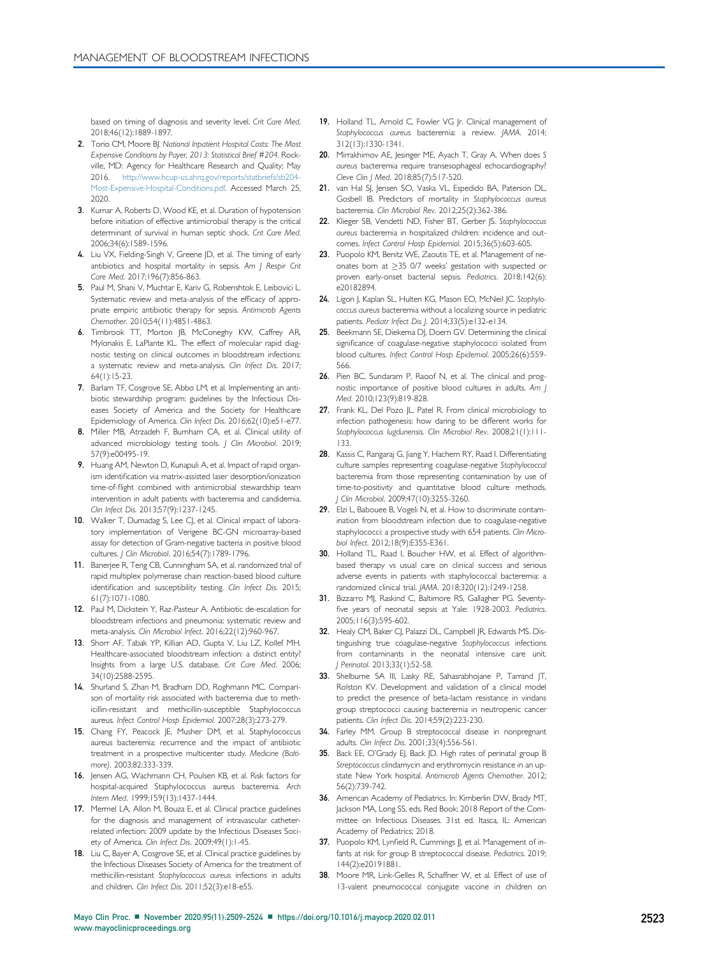based on timing of diagnosis and severity level. Crit Care Med. 2018;46(12):1889-1897.

- <span id="page-14-0"></span>2. Torio CM, Moore BJ. National Inpatient Hospital Costs: The Most Expensive Conditions by Payer, 2013: Statistical Brief #204. Rockville, MD: Agency for Healthcare Research and Quality; May 2016. [http://www.hcup-us.ahrq.gov/reports/statbriefs/sb204-](http://www.hcup-us.ahrq.gov/reports/statbriefs/sb204-Most-Expensive-Hospital-Conditions.pdf) [Most-Expensive-Hospital-Conditions.pdf](http://www.hcup-us.ahrq.gov/reports/statbriefs/sb204-Most-Expensive-Hospital-Conditions.pdf). Accessed March 25, 2020.
- <span id="page-14-1"></span>3. Kumar A, Roberts D, Wood KE, et al. Duration of hypotension before initiation of effective antimicrobial therapy is the critical determinant of survival in human septic shock. Crit Care Med. 2006;34(6):1589-1596.
- <span id="page-14-2"></span>4. Liu VX, Fielding-Singh V, Greene JD, et al. The timing of early antibiotics and hospital mortality in sepsis. Am J Respir Crit Care Med. 2017;196(7):856-863.
- <span id="page-14-3"></span>5. Paul M, Shani V, Muchtar E, Kariv G, Robenshtok E, Leibovici L. Systematic review and meta-analysis of the efficacy of appropriate empiric antibiotic therapy for sepsis. Antimicrob Agents Chemother. 2010;54(11):4851-4863.
- <span id="page-14-4"></span>6. Timbrook TT, Morton JB, McConeghy KW, Caffrey AR, Mylonakis E, LaPlante KL. The effect of molecular rapid diagnostic testing on clinical outcomes in bloodstream infections: a systematic review and meta-analysis. Clin Infect Dis. 2017; 64(1):15-23.
- <span id="page-14-5"></span>7. Barlam TF, Cosgrove SE, Abbo LM, et al. Implementing an antibiotic stewardship program: guidelines by the Infectious Diseases Society of America and the Society for Healthcare Epidemiology of America. Clin Infect Dis. 2016;62(10):e51-e77.
- <span id="page-14-6"></span>8. Miller MB, Atrzadeh F, Burnham CA, et al. Clinical utility of advanced microbiology testing tools. J Clin Microbiol. 2019; 57(9):e00495-19.
- <span id="page-14-7"></span>9. Huang AM, Newton D, Kunapuli A, et al. Impact of rapid organism identification via matrix-assisted laser desorption/ionization time-of-flight combined with antimicrobial stewardship team intervention in adult patients with bacteremia and candidemia. Clin Infect Dis. 2013;57(9):1237-1245.
- 10. Walker T, Dumadag S, Lee CJ, et al. Clinical impact of laboratory implementation of Verigene BC-GN microarray-based assay for detection of Gram-negative bacteria in positive blood cultures. J Clin Microbiol. 2016;54(7):1789-1796.
- 11. Banerjee R, Teng CB, Cunningham SA, et al. randomized trial of rapid multiplex polymerase chain reaction-based blood culture identification and susceptibility testing. Clin Infect Dis. 2015; 61(7):1071-1080.
- <span id="page-14-8"></span>12. Paul M, Dickstein Y, Raz-Pasteur A. Antibiotic de-escalation for bloodstream infections and pneumonia: systematic review and meta-analysis. Clin Microbiol Infect. 2016;22(12):960-967.
- <span id="page-14-9"></span>13. Shorr AF, Tabak YP, Killian AD, Gupta V, Liu LZ, Kollef MH. Healthcare-associated bloodstream infection: a distinct entity? Insights from a large U.S. database. Crit Care Med. 2006; 34(10):2588-2595.
- <span id="page-14-10"></span>14. Shurland S, Zhan M, Bradham DD, Roghmann MC. Comparison of mortality risk associated with bacteremia due to methicillin-resistant and methicillin-susceptible Staphylococcus aureus. Infect Control Hosp Epidemiol. 2007;28(3):273-279.
- <span id="page-14-11"></span>15. Chang FY, Peacock JE, Musher DM, et al. Staphylococcus aureus bacteremia: recurrence and the impact of antibiotic treatment in a prospective multicenter study. Medicine (Baltimore). 2003;82:333-339.
- <span id="page-14-12"></span>16. Jensen AG, Wachmann CH, Poulsen KB, et al. Risk factors for hospital-acquired Staphylococcus aureus bacteremia. Arch Intern Med. 1999;159(13):1437-1444.
- <span id="page-14-13"></span>17. Mermel LA, Allon M, Bouza E, et al. Clinical practice guidelines for the diagnosis and management of intravascular catheterrelated infection: 2009 update by the Infectious Diseases Society of America. Clin Infect Dis. 2009;49(1):1-45.
- <span id="page-14-14"></span>18. Liu C, Bayer A, Cosgrove SE, et al. Clinical practice guidelines by the Infectious Diseases Society of America for the treatment of methicillin-resistant Staphylococcus aureus infections in adults and children. Clin Infect Dis. 2011;52(3):e18-e55.
- <span id="page-14-15"></span>19. Holland TL, Amold C, Fowler VG |r. Clinical management of Staphylococcus aureus bacteremia: a review. JAMA. 2014; 312(13):1330-1341.
- <span id="page-14-16"></span>20. Mirrakhimov AE, Jesinger ME, Ayach T, Gray A. When does S aureus bacteremia require transesophageal echocardiography? Cleve Clin J Med. 2018;85(7):517-520.
- <span id="page-14-17"></span>21. van Hal SJ, Jensen SO, Vaska VL, Espedido BA, Paterson DL, Gosbell IB. Predictors of mortality in Staphylococcus aureus bacteremia. Clin Microbiol Rev. 2012;25(2):362-386.
- <span id="page-14-18"></span>22. Klieger SB, Vendetti ND, Fisher BT, Gerber IS, Staphylococcus aureus bacteremia in hospitalized children: incidence and outcomes. Infect Control Hosp Epidemiol. 2015;36(5):603-605.
- <span id="page-14-19"></span>23. Puopolo KM, Benitz WE, Zaoutis TE, et al. Management of neonates born at  $\geq$ 35 0/7 weeks' gestation with suspected or proven early-onset bacterial sepsis. Pediatrics. 2018;142(6): e20182894.
- <span id="page-14-20"></span>24. Ligon J, Kaplan SL, Hulten KG, Mason EO, McNeil JC. Staphylococcus aureus bacteremia without a localizing source in pediatric patients. Pediatr Infect Dis J. 2014;33(5):e132-e134.
- <span id="page-14-21"></span>25. Beekmann SE, Diekema DJ, Doem GV. Determining the clinical significance of coagulase-negative staphylococci isolated from blood cultures. Infect Control Hosp Epidemiol. 2005;26(6):559- 566.
- <span id="page-14-22"></span>26. Pien BC, Sundaram P, Raoof N, et al. The clinical and prognostic importance of positive blood cultures in adults. Am J Med. 2010;123(9):819-828.
- <span id="page-14-23"></span>27. Frank KL, Del Pozo JL, Patel R. From clinical microbiology to infection pathogenesis: how daring to be different works for Staphylococcus lugdunensis. Clin Microbiol Rev. 2008;21(1):111-133.
- <span id="page-14-24"></span>28. Kassis C, Rangaraj G, Jiang Y, Hachem RY, Raad I. Differentiating culture samples representing coagulase-negative Staphylococcal bacteremia from those representing contamination by use of time-to-positivity and quantitative blood culture methods. J Clin Microbiol. 2009;47(10):3255-3260.
- <span id="page-14-25"></span>29. Elzi L, Babouee B, Vogeli N, et al. How to discriminate contamination from bloodstream infection due to coagulase-negative staphylococci: a prospective study with 654 patients. Clin Microbiol Infect. 2012;18(9):E355-E361.
- <span id="page-14-26"></span>30. Holland TL, Raad I, Boucher HW, et al. Effect of algorithmbased therapy vs usual care on clinical success and serious adverse events in patients with staphylococcal bacteremia: a randomized clinical trial. JAMA. 2018;320(12):1249-1258.
- <span id="page-14-27"></span>31. Bizzarro MJ, Raskind C, Baltimore RS, Gallagher PG. Seventyfive years of neonatal sepsis at Yale: 1928-2003. Pediatrics. 2005;116(3):595-602.
- <span id="page-14-28"></span>32. Healy CM, Baker CJ, Palazzi DL, Campbell JR, Edwards MS. Distinguishing true coagulase-negative Staphylococcus infections from contaminants in the neonatal intensive care unit. J Perinatol. 2013;33(1):52-58.
- <span id="page-14-29"></span>33. Shelburne SA III, Lasky RE, Sahasrabhojane P, Tarrand JT, Rolston KV. Development and validation of a clinical model to predict the presence of beta-lactam resistance in viridans group streptococci causing bacteremia in neutropenic cancer patients. Clin Infect Dis. 2014;59(2):223-230.
- <span id="page-14-30"></span>34. Farley MM. Group B streptococcal disease in nonpregnant adults. Clin Infect Dis. 2001;33(4):556-561.
- <span id="page-14-31"></span>35. Back EE, O'Grady EJ, Back JD. High rates of perinatal group B Streptococcus clindamycin and erythromycin resistance in an upstate New York hospital. Antimicrob Agents Chemother. 2012; 56(2):739-742.
- <span id="page-14-32"></span>36. American Academy of Pediatrics. In: Kimberlin DW, Brady MT, Jackson MA, Long SS, eds. Red Book: 2018 Report of the Committee on Infectious Diseases. 31st ed. Itasca, IL: American Academy of Pediatrics; 2018.
- <span id="page-14-33"></span>37. Puopolo KM, Lynfield R, Cummings JJ, et al. Management of infants at risk for group B streptococcal disease. Pediatrics. 2019; 144(2):e20191881.
- <span id="page-14-34"></span>38. Moore MR, Link-Gelles R, Schaffner W, et al. Effect of use of 13-valent pneumococcal conjugate vaccine in children on